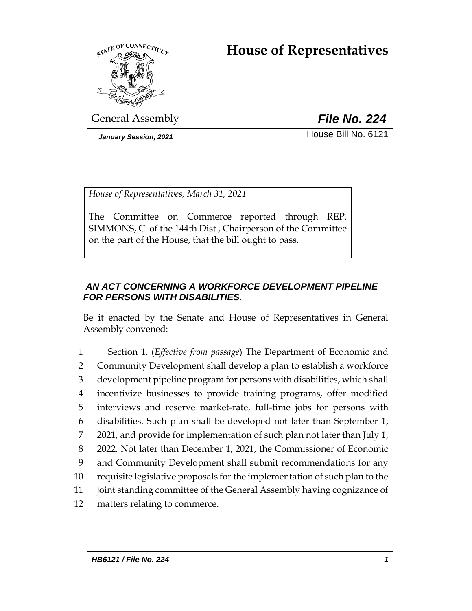# **House of Representatives**



General Assembly *File No. 224*

*January Session, 2021* **House Bill No. 6121** 

*House of Representatives, March 31, 2021*

The Committee on Commerce reported through REP. SIMMONS, C. of the 144th Dist., Chairperson of the Committee on the part of the House, that the bill ought to pass.

# *AN ACT CONCERNING A WORKFORCE DEVELOPMENT PIPELINE FOR PERSONS WITH DISABILITIES.*

Be it enacted by the Senate and House of Representatives in General Assembly convened:

 Section 1. (*Effective from passage*) The Department of Economic and Community Development shall develop a plan to establish a workforce development pipeline program for persons with disabilities, which shall incentivize businesses to provide training programs, offer modified interviews and reserve market-rate, full-time jobs for persons with disabilities. Such plan shall be developed not later than September 1, 2021, and provide for implementation of such plan not later than July 1, 2022. Not later than December 1, 2021, the Commissioner of Economic and Community Development shall submit recommendations for any requisite legislative proposals for the implementation of such plan to the joint standing committee of the General Assembly having cognizance of matters relating to commerce.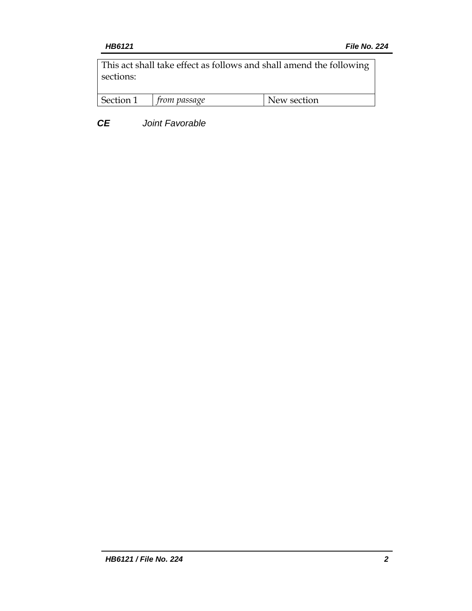This act shall take effect as follows and shall amend the following sections:

| $\mathcal{C}_{\alpha}$ | $S \cap \mathcal{O} \cap \mathcal{O}$ | rtion. |
|------------------------|---------------------------------------|--------|
|                        |                                       |        |

*CE Joint Favorable*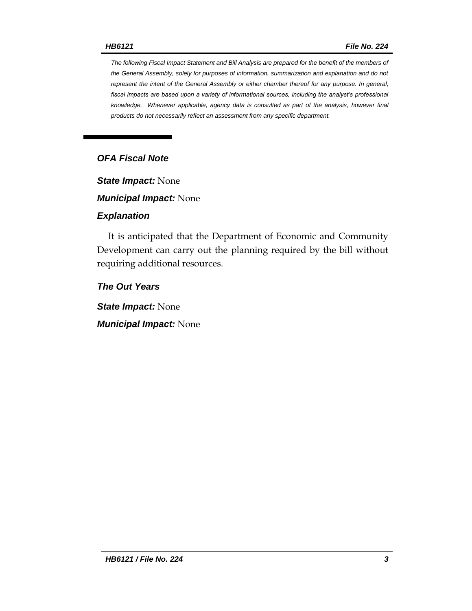*The following Fiscal Impact Statement and Bill Analysis are prepared for the benefit of the members of the General Assembly, solely for purposes of information, summarization and explanation and do not represent the intent of the General Assembly or either chamber thereof for any purpose. In general, fiscal impacts are based upon a variety of informational sources, including the analyst's professional knowledge. Whenever applicable, agency data is consulted as part of the analysis, however final products do not necessarily reflect an assessment from any specific department.*

# *OFA Fiscal Note*

*State Impact:* None

*Municipal Impact:* None

#### *Explanation*

It is anticipated that the Department of Economic and Community Development can carry out the planning required by the bill without requiring additional resources.

*The Out Years*

*State Impact:* None

*Municipal Impact:* None